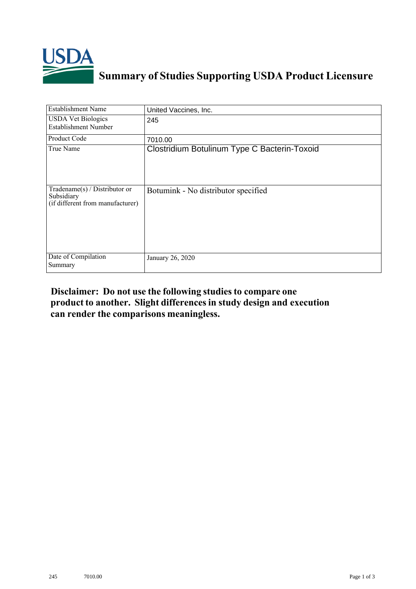

## **Summary of Studies Supporting USDA Product Licensure**

| <b>Establishment Name</b>                                                          | United Vaccines, Inc.                        |
|------------------------------------------------------------------------------------|----------------------------------------------|
| <b>USDA Vet Biologics</b><br><b>Establishment Number</b>                           | 245                                          |
| <b>Product Code</b>                                                                | 7010.00                                      |
| True Name                                                                          | Clostridium Botulinum Type C Bacterin-Toxoid |
| Tradename $(s)$ / Distributor or<br>Subsidiary<br>(if different from manufacturer) | Botumink - No distributor specified          |
| Date of Compilation<br>Summary                                                     | January 26, 2020                             |

## **Disclaimer: Do not use the following studiesto compare one product to another. Slight differencesin study design and execution can render the comparisons meaningless.**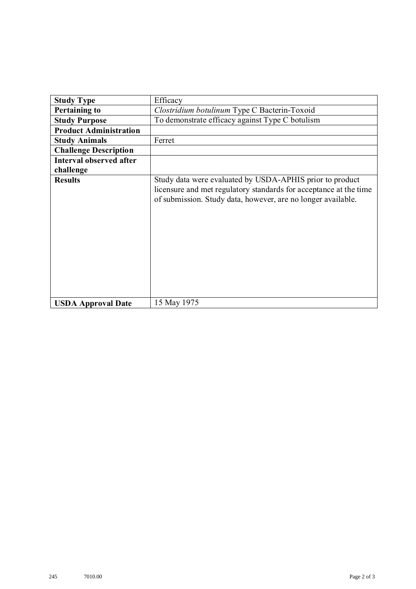| <b>Study Type</b>              | Efficacy                                                                                                                                                                                      |
|--------------------------------|-----------------------------------------------------------------------------------------------------------------------------------------------------------------------------------------------|
| <b>Pertaining to</b>           | Clostridium botulinum Type C Bacterin-Toxoid                                                                                                                                                  |
| <b>Study Purpose</b>           | To demonstrate efficacy against Type C botulism                                                                                                                                               |
| <b>Product Administration</b>  |                                                                                                                                                                                               |
| <b>Study Animals</b>           | Ferret                                                                                                                                                                                        |
| <b>Challenge Description</b>   |                                                                                                                                                                                               |
| <b>Interval observed after</b> |                                                                                                                                                                                               |
| challenge                      |                                                                                                                                                                                               |
| <b>Results</b>                 | Study data were evaluated by USDA-APHIS prior to product<br>licensure and met regulatory standards for acceptance at the time<br>of submission. Study data, however, are no longer available. |
| <b>USDA Approval Date</b>      | 15 May 1975                                                                                                                                                                                   |